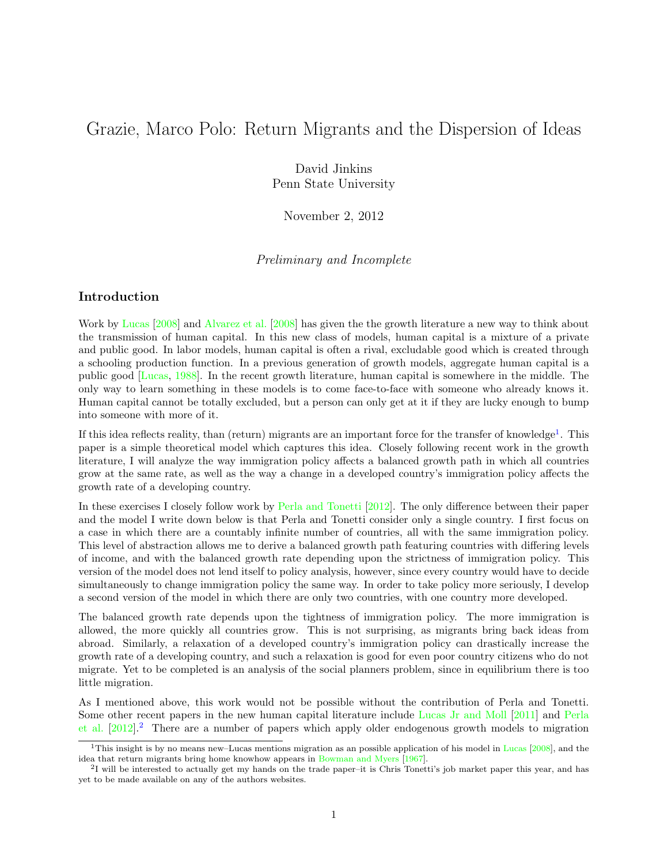# Grazie, Marco Polo: Return Migrants and the Dispersion of Ideas

David Jinkins Penn State University

November 2, 2012

Preliminary and Incomplete

## Introduction

Work by [Lucas](#page-7-0) [\[2008\]](#page-7-0) and [Alvarez et al.](#page-7-1) [\[2008\]](#page-7-1) has given the the growth literature a new way to think about the transmission of human capital. In this new class of models, human capital is a mixture of a private and public good. In labor models, human capital is often a rival, excludable good which is created through a schooling production function. In a previous generation of growth models, aggregate human capital is a public good [\[Lucas,](#page-7-2) [1988\]](#page-7-2). In the recent growth literature, human capital is somewhere in the middle. The only way to learn something in these models is to come face-to-face with someone who already knows it. Human capital cannot be totally excluded, but a person can only get at it if they are lucky enough to bump into someone with more of it.

If this idea reflects reality, than (return) migrants are an important force for the transfer of knowledge<sup>[1](#page-0-0)</sup>. This paper is a simple theoretical model which captures this idea. Closely following recent work in the growth literature, I will analyze the way immigration policy affects a balanced growth path in which all countries grow at the same rate, as well as the way a change in a developed country's immigration policy affects the growth rate of a developing country.

In these exercises I closely follow work by [Perla and Tonetti](#page-7-3) [\[2012\]](#page-7-3). The only difference between their paper and the model I write down below is that Perla and Tonetti consider only a single country. I first focus on a case in which there are a countably infinite number of countries, all with the same immigration policy. This level of abstraction allows me to derive a balanced growth path featuring countries with differing levels of income, and with the balanced growth rate depending upon the strictness of immigration policy. This version of the model does not lend itself to policy analysis, however, since every country would have to decide simultaneously to change immigration policy the same way. In order to take policy more seriously, I develop a second version of the model in which there are only two countries, with one country more developed.

The balanced growth rate depends upon the tightness of immigration policy. The more immigration is allowed, the more quickly all countries grow. This is not surprising, as migrants bring back ideas from abroad. Similarly, a relaxation of a developed country's immigration policy can drastically increase the growth rate of a developing country, and such a relaxation is good for even poor country citizens who do not migrate. Yet to be completed is an analysis of the social planners problem, since in equilibrium there is too little migration.

As I mentioned above, this work would not be possible without the contribution of Perla and Tonetti. Some other recent papers in the new human capital literature include [Lucas Jr and Moll](#page-7-4) [\[2011\]](#page-7-4) and [Perla](#page-7-5) [et al.](#page-7-5) [\[2012\]](#page-7-5).[2](#page-0-1) There are a number of papers which apply older endogenous growth models to migration

<span id="page-0-0"></span><sup>&</sup>lt;sup>1</sup>This insight is by no means new–[Lucas](#page-7-0) mentions migration as an possible application of his model in Lucas  $[2008]$ , and the idea that return migrants bring home knowhow appears in [Bowman and Myers](#page-7-6) [\[1967\]](#page-7-6).

<span id="page-0-1"></span> $2<sup>1</sup>$  will be interested to actually get my hands on the trade paper–it is Chris Tonetti's job market paper this year, and has yet to be made available on any of the authors websites.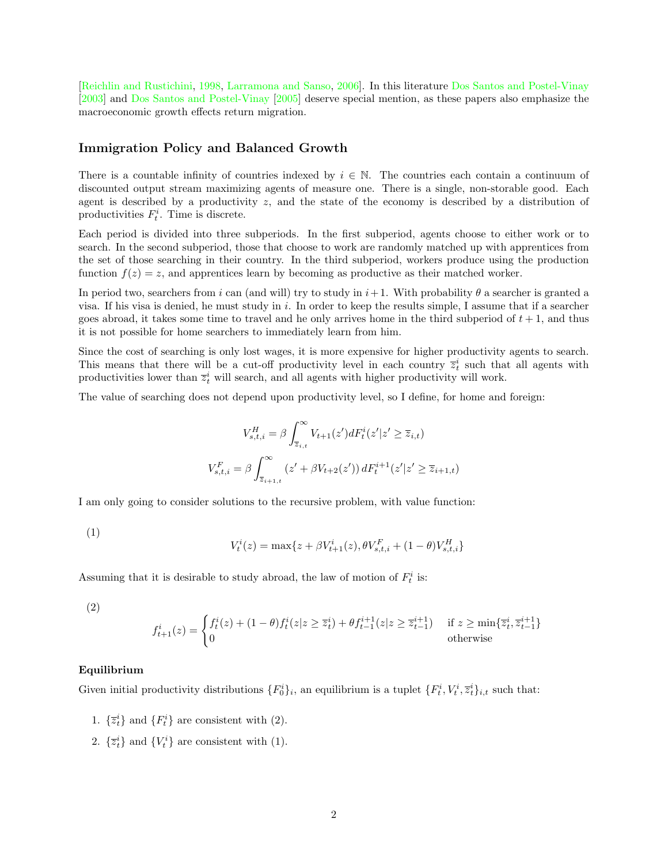[\[Reichlin and Rustichini,](#page-7-7) [1998,](#page-7-7) [Larramona and Sanso,](#page-7-8) [2006\]](#page-7-8). In this literature [Dos Santos and Postel-Vinay](#page-7-9) [\[2003\]](#page-7-9) and [Dos Santos and Postel-Vinay](#page-7-10) [\[2005\]](#page-7-10) deserve special mention, as these papers also emphasize the macroeconomic growth effects return migration.

### Immigration Policy and Balanced Growth

There is a countable infinity of countries indexed by  $i \in \mathbb{N}$ . The countries each contain a continuum of discounted output stream maximizing agents of measure one. There is a single, non-storable good. Each agent is described by a productivity z, and the state of the economy is described by a distribution of productivities  $F_t^i$ . Time is discrete.

Each period is divided into three subperiods. In the first subperiod, agents choose to either work or to search. In the second subperiod, those that choose to work are randomly matched up with apprentices from the set of those searching in their country. In the third subperiod, workers produce using the production function  $f(z) = z$ , and apprentices learn by becoming as productive as their matched worker.

In period two, searchers from i can (and will) try to study in  $i+1$ . With probability  $\theta$  a searcher is granted a visa. If his visa is denied, he must study in i. In order to keep the results simple, I assume that if a searcher goes abroad, it takes some time to travel and he only arrives home in the third subperiod of  $t + 1$ , and thus it is not possible for home searchers to immediately learn from him.

Since the cost of searching is only lost wages, it is more expensive for higher productivity agents to search. This means that there will be a cut-off productivity level in each country  $\overline{z}_t^i$  such that all agents with productivities lower than  $\overline{z}_t^i$  will search, and all agents with higher productivity will work.

The value of searching does not depend upon productivity level, so I define, for home and foreign:

$$
V_{s,t,i}^{H} = \beta \int_{\overline{z}_{i,t}}^{\infty} V_{t+1}(z') dF_t^{i}(z'|z' \ge \overline{z}_{i,t})
$$
  

$$
V_{s,t,i}^{F} = \beta \int_{\overline{z}_{i+1,t}}^{\infty} (z' + \beta V_{t+2}(z')) dF_t^{i+1}(z'|z' \ge \overline{z}_{i+1,t})
$$

I am only going to consider solutions to the recursive problem, with value function:

(1)

$$
V_t^i(z) = \max\{z + \beta V_{t+1}^i(z), \theta V_{s,t,i}^F + (1-\theta) V_{s,t,i}^H\}
$$

Assuming that it is desirable to study abroad, the law of motion of  $F_t^i$  is:

(2)

$$
f_{t+1}^i(z) = \begin{cases} f_t^i(z) + (1 - \theta)f_t^i(z|z \ge \overline{z}_t^i) + \theta f_{t-1}^{i+1}(z|z \ge \overline{z}_{t-1}^{i+1}) & \text{if } z \ge \min\{\overline{z}_t^i, \overline{z}_{t-1}^{i+1}\} \\ 0 & \text{otherwise} \end{cases}
$$

#### Equilibrium

Given initial productivity distributions  $\{F_0^i\}_i$ , an equilibrium is a tuplet  $\{F_t^i, V_t^i, \overline{z}_t^i\}_{i,t}$  such that:

- 1.  $\{\overline{z}_t^i\}$  and  $\{F_t^i\}$  are consistent with (2).
- 2.  $\{\overline{z}_t^i\}$  and  $\{V_t^i\}$  are consistent with (1).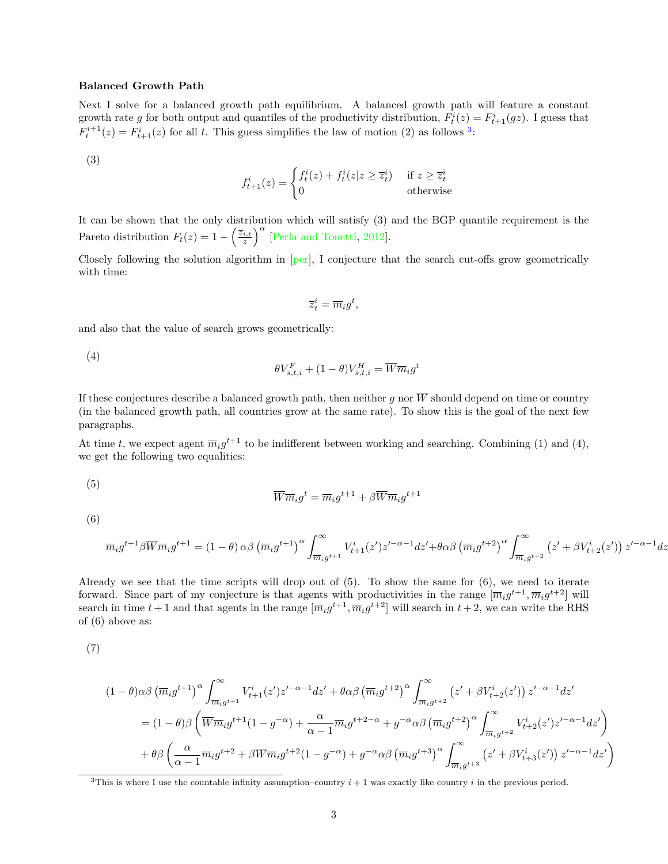#### Balanced Growth Path

Next I solve for a balanced growth path equilibrium. A balanced growth path will feature a constant growth rate g for both output and quantiles of the productivity distribution,  $F_t^i(z) = F_{t+1}^i(gz)$ . I guess that  $F_t^{i+1}(z) = F_{t+1}^i(z)$  for all t. This guess simplifies the law of motion (2) as follows <sup>[3](#page-2-0)</sup>:

(3)

$$
f_{t+1}^i(z) = \begin{cases} f_t^i(z) + f_t^i(z|z \ge \overline{z}_t^i) & \text{if } z \ge \overline{z}_t^i \\ 0 & \text{otherwise} \end{cases}
$$

It can be shown that the only distribution which will satisfy (3) and the BGP quantile requirement is the Pareto distribution  $F_t(z) = 1 - \left(\frac{\overline{z}_{i,t}}{z}\right)^{\alpha}$  [\[Perla and Tonetti,](#page-7-3) [2012\]](#page-7-3).

Closely following the solution algorithm in [\[per\]](#page-6-0), I conjecture that the search cut-offs grow geometrically with time:

$$
\overline{z}_t^i = \overline{m}_i g^t,
$$

and also that the value of search grows geometrically:

(4)

$$
\theta V_{s,t,i}^F + (1-\theta) V_{s,t,i}^H = \overline{W} \overline{m}_i g^t
$$

If these conjectures describe a balanced growth path, then neither g nor  $\overline{W}$  should depend on time or country (in the balanced growth path, all countries grow at the same rate). To show this is the goal of the next few paragraphs.

At time t, we expect agent  $\overline{m}_ig^{t+1}$  to be indifferent between working and searching. Combining (1) and (4), we get the following two equalities:

$$
(5)
$$

$$
\overline{W} \overline{m}_i g^t = \overline{m}_i g^{t+1} + \beta \overline{W} \overline{m}_i g^{t+1}
$$

(6)

$$
\overline{m}_ig^{t+1}\beta\overline{W}\overline{m}_ig^{t+1} = (1-\theta)\alpha\beta\left(\overline{m}_ig^{t+1}\right)^{\alpha}\int_{\overline{m}_ig^{t+1}}^{\infty} V_{t+1}^i(z')z'^{-\alpha-1}dz' + \theta\alpha\beta\left(\overline{m}_ig^{t+2}\right)^{\alpha}\int_{\overline{m}_ig^{t+2}}^{\infty} \left(z' + \beta V_{t+2}^i(z')\right)z'^{-\alpha-1}dz'.
$$

Already we see that the time scripts will drop out of  $(5)$ . To show the same for  $(6)$ , we need to iterate forward. Since part of my conjecture is that agents with productivities in the range  $[\overline{m}_i g^{t+1}, \overline{m}_i g^{t+2}]$  will search in time  $t+1$  and that agents in the range  $[\overline{m}_ig^{t+1}, \overline{m}_ig^{t+2}]$  will search in  $t+2$ , we can write the RHS of (6) above as:

$$
^{(7)}
$$

$$
(1 - \theta)\alpha\beta \left(\overline{m}_ig^{t+1}\right)^{\alpha} \int_{\overline{m}_ig^{t+1}}^{\infty} V_{t+1}^i(z')z'^{-\alpha-1}dz' + \theta\alpha\beta \left(\overline{m}_ig^{t+2}\right)^{\alpha} \int_{\overline{m}_ig^{t+2}}^{\infty} \left(z' + \beta V_{t+2}^i(z')\right)z'^{-\alpha-1}dz'
$$
  

$$
= (1 - \theta)\beta \left(\overline{W}\overline{m}_ig^{t+1}(1 - g^{-\alpha}) + \frac{\alpha}{\alpha-1}\overline{m}_ig^{t+2-\alpha} + g^{-\alpha}\alpha\beta \left(\overline{m}_ig^{t+2}\right)^{\alpha} \int_{\overline{m}_ig^{t+2}}^{\infty} V_{t+2}^i(z')z'^{-\alpha-1}dz'\right)
$$

$$
+ \theta\beta \left(\frac{\alpha}{\alpha-1}\overline{m}_ig^{t+2} + \beta\overline{W}\overline{m}_ig^{t+2}(1 - g^{-\alpha}) + g^{-\alpha}\alpha\beta \left(\overline{m}_ig^{t+3}\right)^{\alpha} \int_{\overline{m}_ig^{t+3}}^{\infty} \left(z' + \beta V_{t+3}^i(z')\right)z'^{-\alpha-1}dz'\right)
$$

<span id="page-2-0"></span><sup>3</sup>This is where I use the countable infinity assumption–country  $i + 1$  was exactly like country i in the previous period.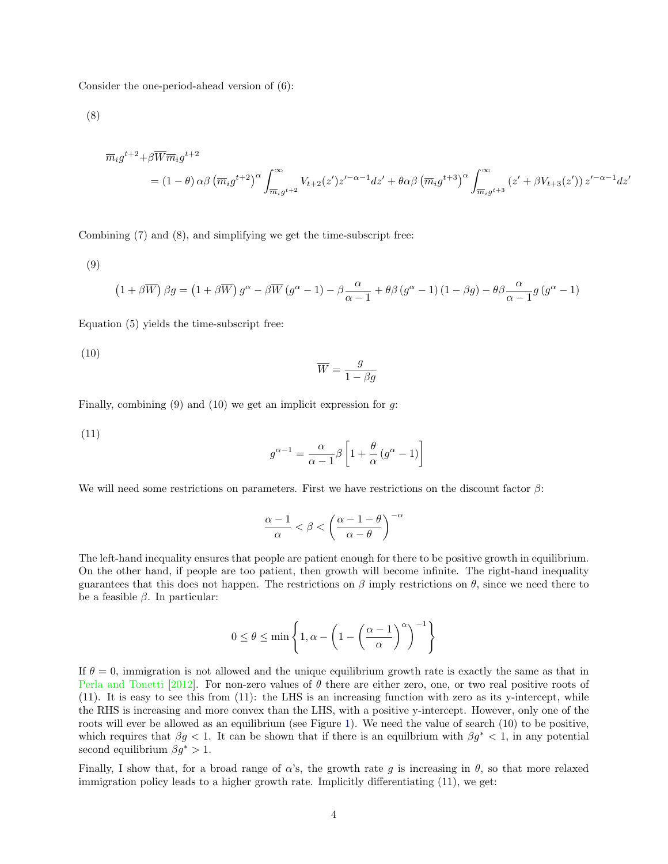Consider the one-period-ahead version of (6):

(8)

$$
\overline{m}_i g^{t+2} + \beta \overline{W} \overline{m}_i g^{t+2}
$$
\n
$$
= (1 - \theta) \alpha \beta \left( \overline{m}_i g^{t+2} \right)^{\alpha} \int_{\overline{m}_i g^{t+2}}^{\infty} V_{t+2}(z') z'^{-\alpha-1} dz' + \theta \alpha \beta \left( \overline{m}_i g^{t+3} \right)^{\alpha} \int_{\overline{m}_i g^{t+3}}^{\infty} \left( z' + \beta V_{t+3}(z') \right) z'^{-\alpha-1} dz'
$$

Combining (7) and (8), and simplifying we get the time-subscript free:

(9)

$$
(1 + \beta \overline{W}) \beta g = (1 + \beta \overline{W}) g^{\alpha} - \beta \overline{W} (g^{\alpha} - 1) - \beta \frac{\alpha}{\alpha - 1} + \theta \beta (g^{\alpha} - 1) (1 - \beta g) - \theta \beta \frac{\alpha}{\alpha - 1} g (g^{\alpha} - 1)
$$

Equation (5) yields the time-subscript free:

(10)

$$
\overline{W} = \frac{g}{1 - \beta g}
$$

Finally, combining  $(9)$  and  $(10)$  we get an implicit expression for g:

(11)

$$
g^{\alpha - 1} = \frac{\alpha}{\alpha - 1} \beta \left[ 1 + \frac{\theta}{\alpha} \left( g^{\alpha} - 1 \right) \right]
$$

We will need some restrictions on parameters. First we have restrictions on the discount factor  $\beta$ :

$$
\frac{\alpha-1}{\alpha} < \beta < \left(\frac{\alpha-1-\theta}{\alpha-\theta}\right)^{-\alpha}
$$

The left-hand inequality ensures that people are patient enough for there to be positive growth in equilibrium. On the other hand, if people are too patient, then growth will become infinite. The right-hand inequality guarantees that this does not happen. The restrictions on  $\beta$  imply restrictions on  $\theta$ , since we need there to be a feasible  $\beta$ . In particular:

$$
0 \le \theta \le \min\left\{1, \alpha - \left(1 - \left(\frac{\alpha - 1}{\alpha}\right)^{\alpha}\right)^{-1}\right\}
$$

If  $\theta = 0$ , immigration is not allowed and the unique equilibrium growth rate is exactly the same as that in [Perla and Tonetti](#page-7-3) [\[2012\]](#page-7-3). For non-zero values of  $\theta$  there are either zero, one, or two real positive roots of (11). It is easy to see this from (11): the LHS is an increasing function with zero as its y-intercept, while the RHS is increasing and more convex than the LHS, with a positive y-intercept. However, only one of the roots will ever be allowed as an equilibrium (see Figure [1\)](#page-4-0). We need the value of search (10) to be positive, which requires that  $\beta g < 1$ . It can be shown that if there is an equilibrium with  $\beta g^* < 1$ , in any potential second equilibrium  $\beta q^* > 1$ .

Finally, I show that, for a broad range of  $\alpha$ 's, the growth rate q is increasing in  $\theta$ , so that more relaxed immigration policy leads to a higher growth rate. Implicitly differentiating (11), we get: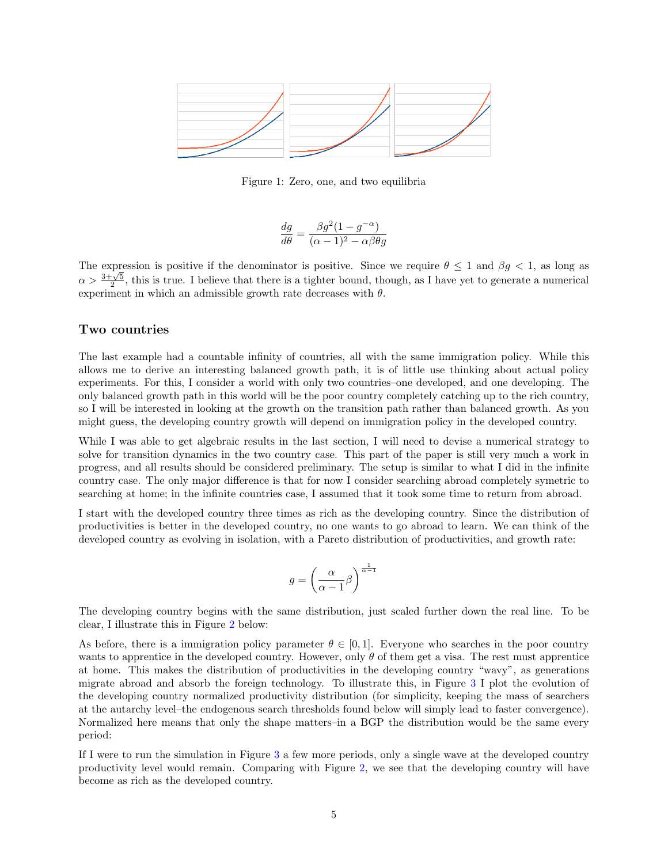

<span id="page-4-0"></span>Figure 1: Zero, one, and two equilibria

$$
\frac{dg}{d\theta} = \frac{\beta g^2 (1 - g^{-\alpha})}{(\alpha - 1)^2 - \alpha \beta \theta g}
$$

The expression is positive if the denominator is positive. Since we require  $\theta \leq 1$  and  $\beta g < 1$ , as long as  $\alpha > \frac{3+\sqrt{5}}{2}$ , this is true. I believe that there is a tighter bound, though, as I have yet to generate a numerical experiment in which an admissible growth rate decreases with  $\theta$ .

## Two countries

The last example had a countable infinity of countries, all with the same immigration policy. While this allows me to derive an interesting balanced growth path, it is of little use thinking about actual policy experiments. For this, I consider a world with only two countries–one developed, and one developing. The only balanced growth path in this world will be the poor country completely catching up to the rich country, so I will be interested in looking at the growth on the transition path rather than balanced growth. As you might guess, the developing country growth will depend on immigration policy in the developed country.

While I was able to get algebraic results in the last section, I will need to devise a numerical strategy to solve for transition dynamics in the two country case. This part of the paper is still very much a work in progress, and all results should be considered preliminary. The setup is similar to what I did in the infinite country case. The only major difference is that for now I consider searching abroad completely symetric to searching at home; in the infinite countries case, I assumed that it took some time to return from abroad.

I start with the developed country three times as rich as the developing country. Since the distribution of productivities is better in the developed country, no one wants to go abroad to learn. We can think of the developed country as evolving in isolation, with a Pareto distribution of productivities, and growth rate:

$$
g=\left(\frac{\alpha}{\alpha-1}\beta\right)^{\frac{1}{\alpha-1}}
$$

The developing country begins with the same distribution, just scaled further down the real line. To be clear, I illustrate this in Figure [2](#page-5-0) below:

As before, there is a immigration policy parameter  $\theta \in [0, 1]$ . Everyone who searches in the poor country wants to apprentice in the developed country. However, only  $\theta$  of them get a visa. The rest must apprentice at home. This makes the distribution of productivities in the developing country "wavy", as generations migrate abroad and absorb the foreign technology. To illustrate this, in Figure [3](#page-5-1) I plot the evolution of the developing country normalized productivity distribution (for simplicity, keeping the mass of searchers at the autarchy level–the endogenous search thresholds found below will simply lead to faster convergence). Normalized here means that only the shape matters–in a BGP the distribution would be the same every period:

If I were to run the simulation in Figure [3](#page-5-1) a few more periods, only a single wave at the developed country productivity level would remain. Comparing with Figure [2,](#page-5-0) we see that the developing country will have become as rich as the developed country.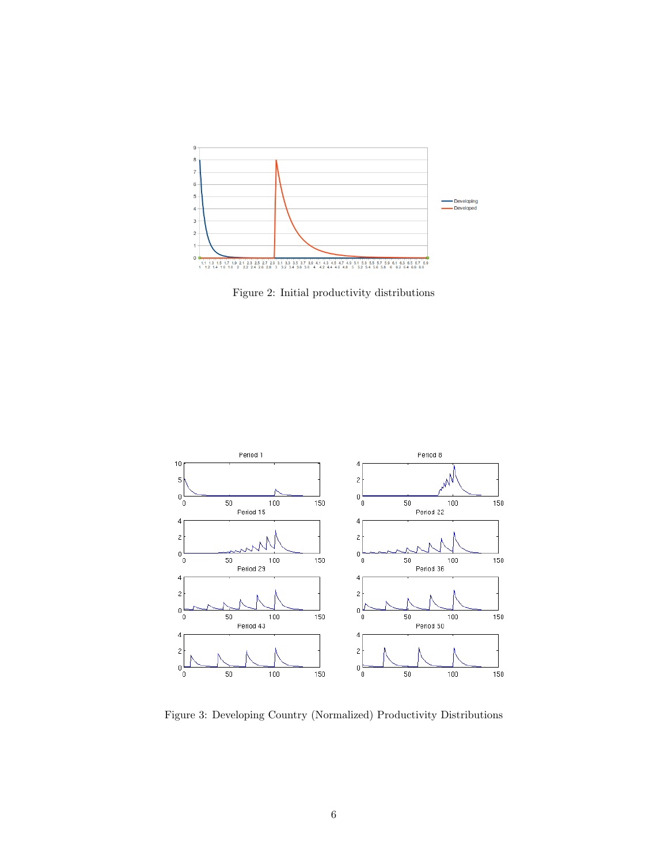

<span id="page-5-0"></span>Figure 2: Initial productivity distributions



<span id="page-5-1"></span>Figure 3: Developing Country (Normalized) Productivity Distributions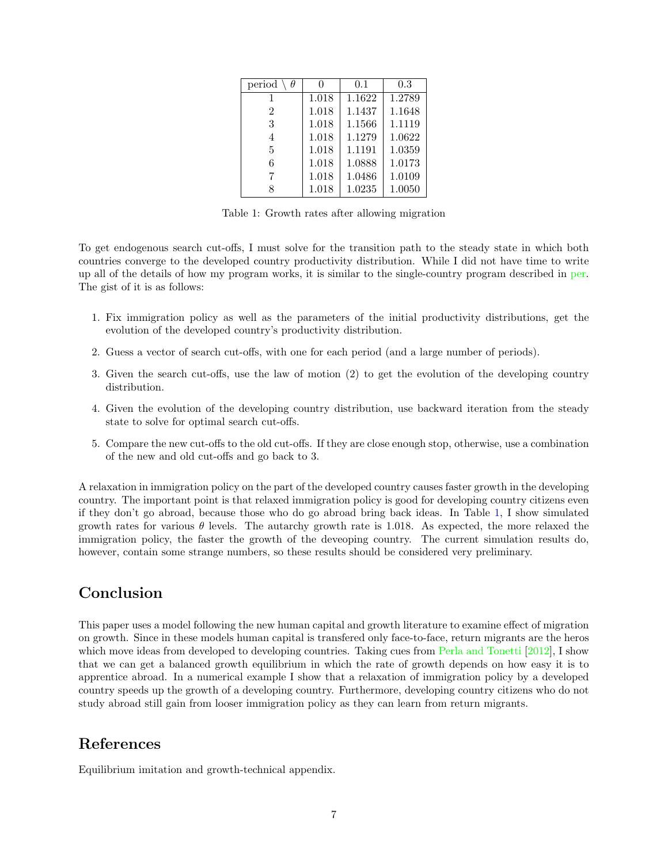| period |       | 0.1    | 0.3    |
|--------|-------|--------|--------|
|        | 1.018 | 1.1622 | 1.2789 |
| 2      | 1.018 | 1.1437 | 1.1648 |
| 3      | 1.018 | 1.1566 | 1.1119 |
| 4      | 1.018 | 1.1279 | 1.0622 |
| 5      | 1.018 | 1.1191 | 1.0359 |
| 6      | 1.018 | 1.0888 | 1.0173 |
|        | 1.018 | 1.0486 | 1.0109 |
|        | 1.018 | 1.0235 | 1.0050 |

<span id="page-6-1"></span>Table 1: Growth rates after allowing migration

To get endogenous search cut-offs, I must solve for the transition path to the steady state in which both countries converge to the developed country productivity distribution. While I did not have time to write up all of the details of how my program works, it is similar to the single-country program described in [per.](#page-6-0) The gist of it is as follows:

- 1. Fix immigration policy as well as the parameters of the initial productivity distributions, get the evolution of the developed country's productivity distribution.
- 2. Guess a vector of search cut-offs, with one for each period (and a large number of periods).
- 3. Given the search cut-offs, use the law of motion (2) to get the evolution of the developing country distribution.
- 4. Given the evolution of the developing country distribution, use backward iteration from the steady state to solve for optimal search cut-offs.
- 5. Compare the new cut-offs to the old cut-offs. If they are close enough stop, otherwise, use a combination of the new and old cut-offs and go back to 3.

A relaxation in immigration policy on the part of the developed country causes faster growth in the developing country. The important point is that relaxed immigration policy is good for developing country citizens even if they don't go abroad, because those who do go abroad bring back ideas. In Table [1,](#page-6-1) I show simulated growth rates for various  $\theta$  levels. The autarchy growth rate is 1.018. As expected, the more relaxed the immigration policy, the faster the growth of the deveoping country. The current simulation results do, however, contain some strange numbers, so these results should be considered very preliminary.

## Conclusion

This paper uses a model following the new human capital and growth literature to examine effect of migration on growth. Since in these models human capital is transfered only face-to-face, return migrants are the heros which move ideas from developed to developing countries. Taking cues from [Perla and Tonetti](#page-7-3) [\[2012\]](#page-7-3), I show that we can get a balanced growth equilibrium in which the rate of growth depends on how easy it is to apprentice abroad. In a numerical example I show that a relaxation of immigration policy by a developed country speeds up the growth of a developing country. Furthermore, developing country citizens who do not study abroad still gain from looser immigration policy as they can learn from return migrants.

## References

<span id="page-6-0"></span>Equilibrium imitation and growth-technical appendix.